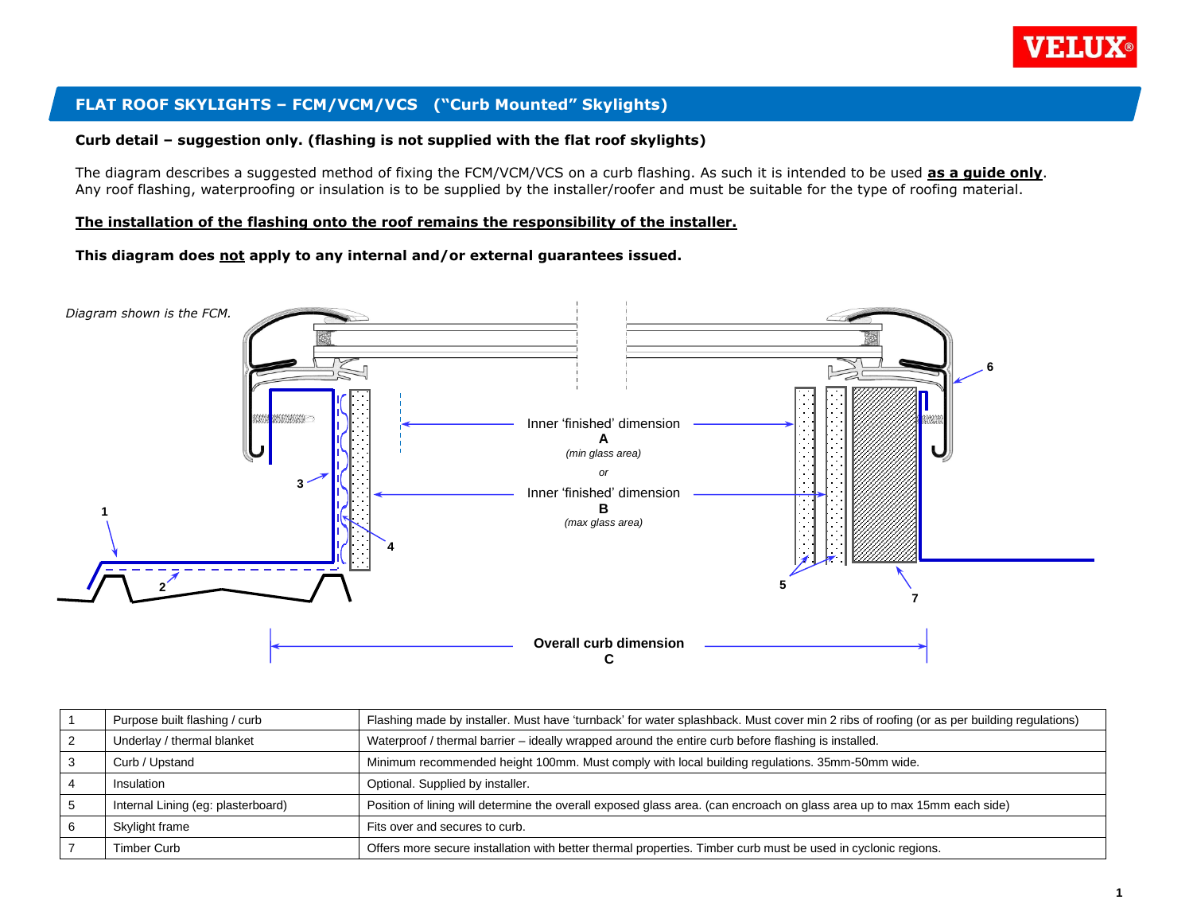

## **FLAT ROOF SKYLIGHTS – FCM/VCM/VCS ("Curb Mounted" Skylights)**

#### **Curb detail – suggestion only. (flashing is not supplied with the flat roof skylights)**

The diagram describes a suggested method of fixing the FCM/VCM/VCS on a curb flashing. As such it is intended to be used **as a guide only**. Any roof flashing, waterproofing or insulation is to be supplied by the installer/roofer and must be suitable for the type of roofing material.

#### **The installation of the flashing onto the roof remains the responsibility of the installer.**

**This diagram does not apply to any internal and/or external guarantees issued.**



| Purpose built flashing / curb      | Flashing made by installer. Must have 'turnback' for water splashback. Must cover min 2 ribs of roofing (or as per building regulations) |  |
|------------------------------------|------------------------------------------------------------------------------------------------------------------------------------------|--|
| Underlay / thermal blanket         | Waterproof / thermal barrier - ideally wrapped around the entire curb before flashing is installed.                                      |  |
| Curb / Upstand                     | Minimum recommended height 100mm. Must comply with local building regulations. 35mm-50mm wide.                                           |  |
| Insulation                         | Optional. Supplied by installer.                                                                                                         |  |
| Internal Lining (eg: plasterboard) | Position of lining will determine the overall exposed glass area. (can encroach on glass area up to max 15mm each side)                  |  |
| Skylight frame                     | Fits over and secures to curb.                                                                                                           |  |
| Timber Curb                        | Offers more secure installation with better thermal properties. Timber curb must be used in cyclonic regions.                            |  |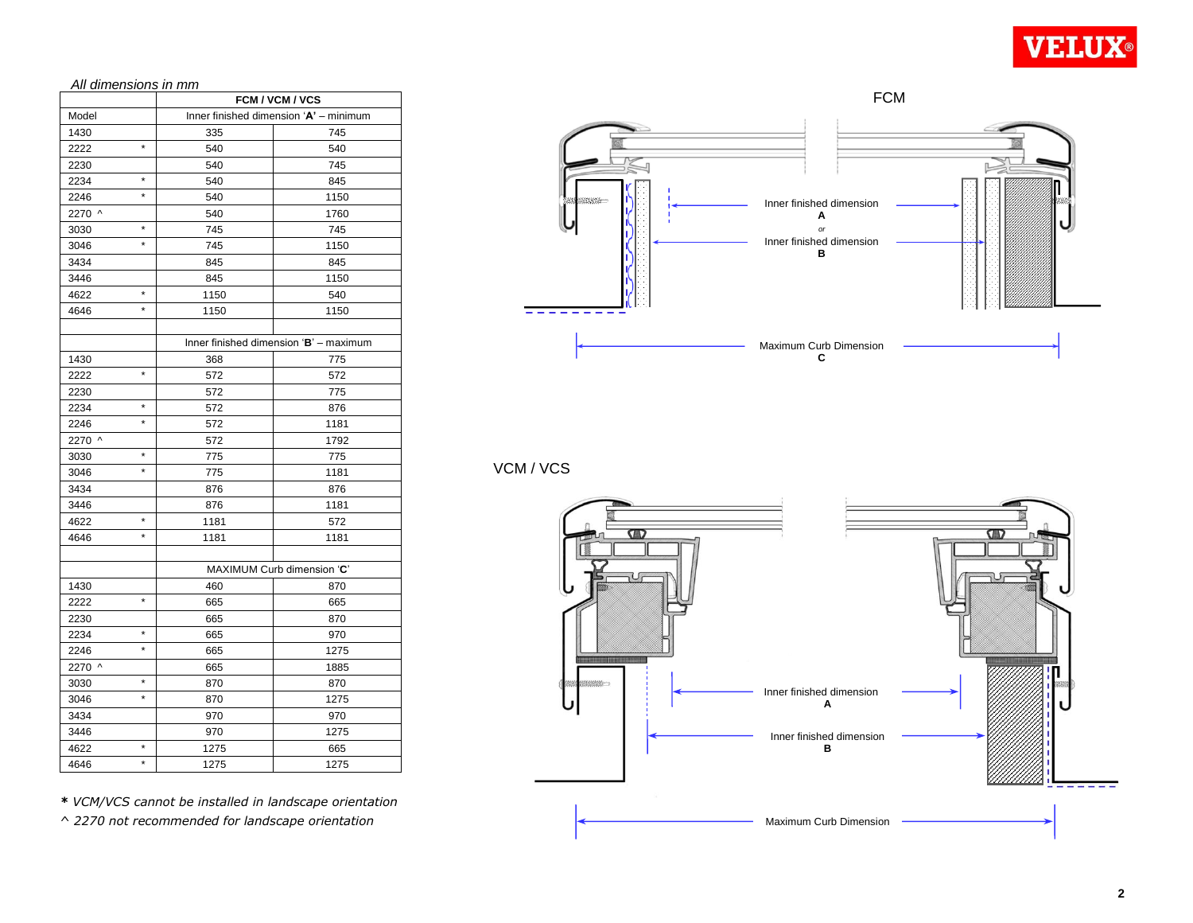

*All dimensions in mm*

| <u>All ultilerisions in mini</u><br>FCM / VCM / VCS |         |                                        |      |  |  |
|-----------------------------------------------------|---------|----------------------------------------|------|--|--|
| Model                                               |         | Inner finished dimension 'A' - minimum |      |  |  |
| 1430                                                |         | 335                                    | 745  |  |  |
| 2222                                                | ×       | 540                                    | 540  |  |  |
| 2230                                                |         | 540                                    | 745  |  |  |
| 2234                                                | $\star$ | 540                                    | 845  |  |  |
| 2246                                                | *       | 540                                    | 1150 |  |  |
| 2270 ^                                              |         | 540                                    | 1760 |  |  |
| 3030                                                | $\star$ | 745                                    | 745  |  |  |
| 3046                                                | $\star$ | 745                                    | 1150 |  |  |
| 3434                                                |         | 845                                    | 845  |  |  |
| 3446                                                |         | 845                                    | 1150 |  |  |
| 4622                                                | $\star$ | 1150                                   | 540  |  |  |
| 4646                                                | $\star$ | 1150                                   | 1150 |  |  |
|                                                     |         |                                        |      |  |  |
|                                                     |         | Inner finished dimension 'B' - maximum |      |  |  |
| 1430                                                |         | 368                                    | 775  |  |  |
| 2222                                                | *       | 572                                    | 572  |  |  |
| 2230                                                |         | 572                                    | 775  |  |  |
| 2234                                                | *       | 572                                    | 876  |  |  |
| 2246                                                | $\star$ | 572                                    | 1181 |  |  |
| 2270 ^                                              |         | 572                                    | 1792 |  |  |
| 3030                                                | ×       | 775                                    | 775  |  |  |
| 3046                                                | $\star$ | 775                                    | 1181 |  |  |
| 3434                                                |         | 876                                    | 876  |  |  |
| 3446                                                |         | 876                                    | 1181 |  |  |
| 4622                                                | *       | 1181                                   | 572  |  |  |
| 4646                                                | $\star$ | 1181                                   | 1181 |  |  |
|                                                     |         |                                        |      |  |  |
|                                                     |         | MAXIMUM Curb dimension 'C'             |      |  |  |
| 1430                                                |         | 460                                    | 870  |  |  |
| 2222                                                | $\star$ | 665                                    | 665  |  |  |
| 2230                                                |         | 665                                    | 870  |  |  |
| 2234                                                | ×       | 665                                    | 970  |  |  |
| 2246                                                | $\star$ | 665                                    | 1275 |  |  |
| 2270 ^                                              |         | 665                                    | 1885 |  |  |
| 3030                                                | *       | 870                                    | 870  |  |  |
| 3046                                                | $\star$ | 870                                    | 1275 |  |  |
| 3434                                                |         | 970                                    | 970  |  |  |
| 3446                                                |         | 970                                    | 1275 |  |  |
| 4622                                                | *       | 1275                                   | 665  |  |  |
| 4646                                                | $\star$ | 1275                                   | 1275 |  |  |

FCM Inner finished dimension **A** *or* Inner finished dimension **B** Maximum Curb Dimension

**C**

VCM / VCS



*\* VCM/VCS cannot be installed in landscape orientation*

*^ 2270 not recommended for landscape orientation*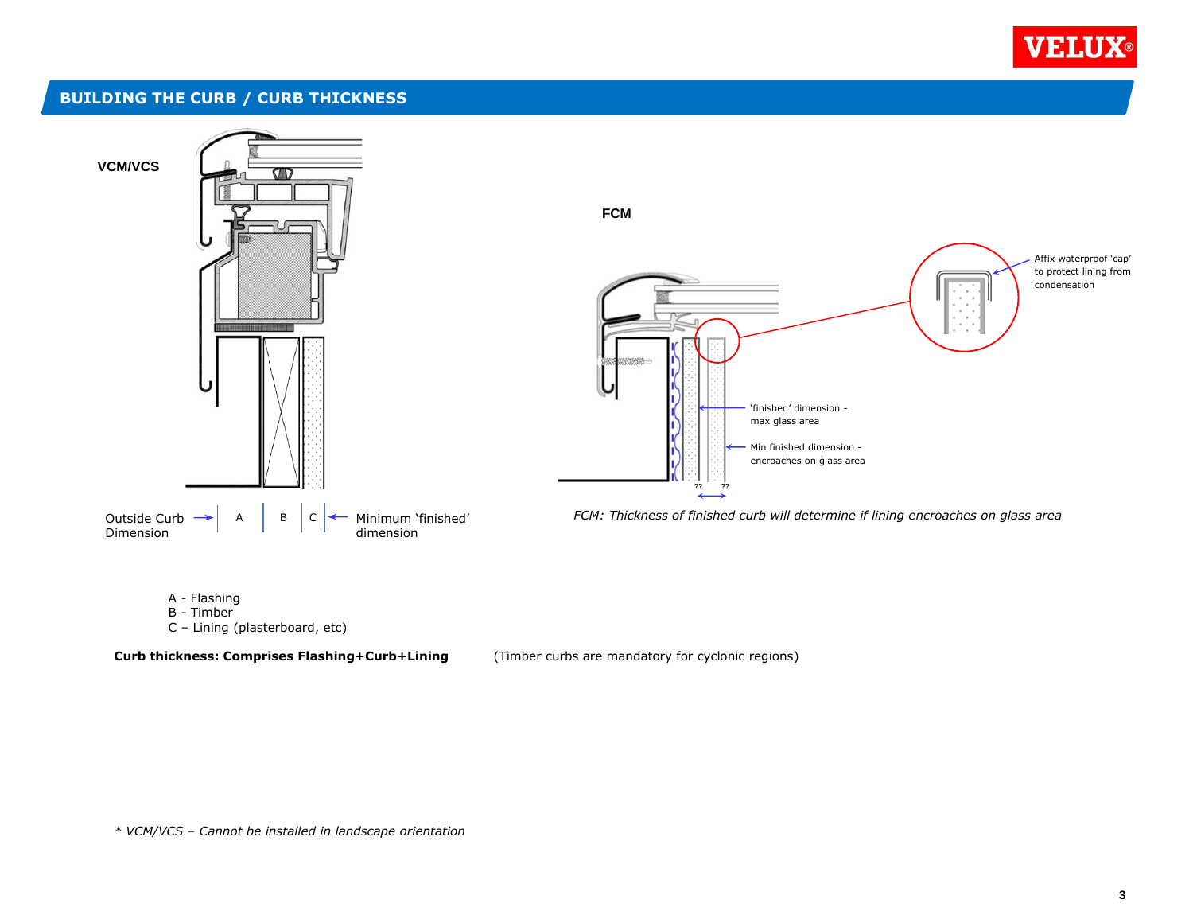

## **BUILDING THE CURB / CURB THICKNESS**



B - Timber

C – Lining (plasterboard, etc)

**Curb thickness: Comprises Flashing+Curb+Lining** (Timber curbs are mandatory for cyclonic regions)

*\* VCM/VCS – Cannot be installed in landscape orientation*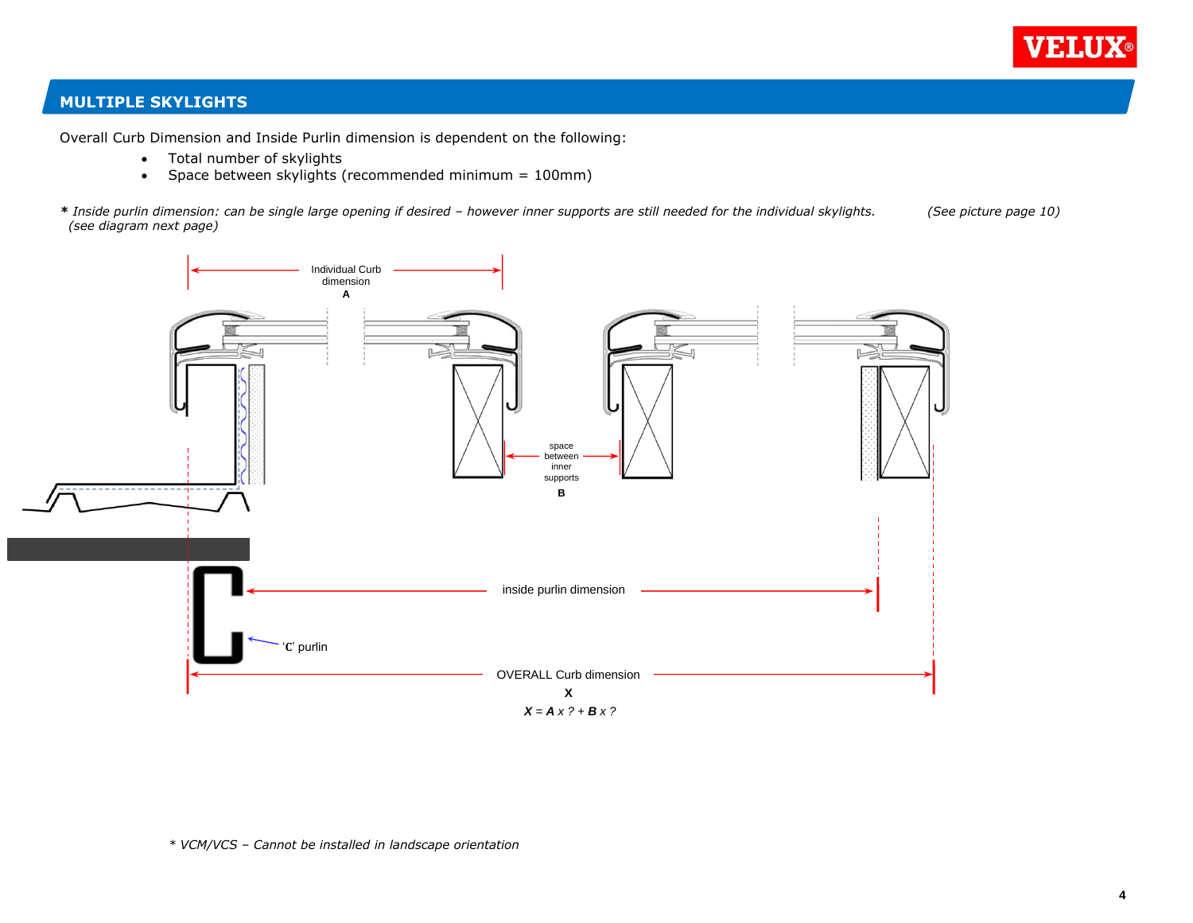

### **MULTIPLE SKYLIGHTS**

Overall Curb Dimension and Inside Purlin dimension is dependent on the following:

- Total number of skylights
- Space between skylights (recommended minimum = 100mm)

*\* Inside purlin dimension: can be single large opening if desired – however inner supports are still needed for the individual skylights. (See picture page 10) (see diagram next page)*

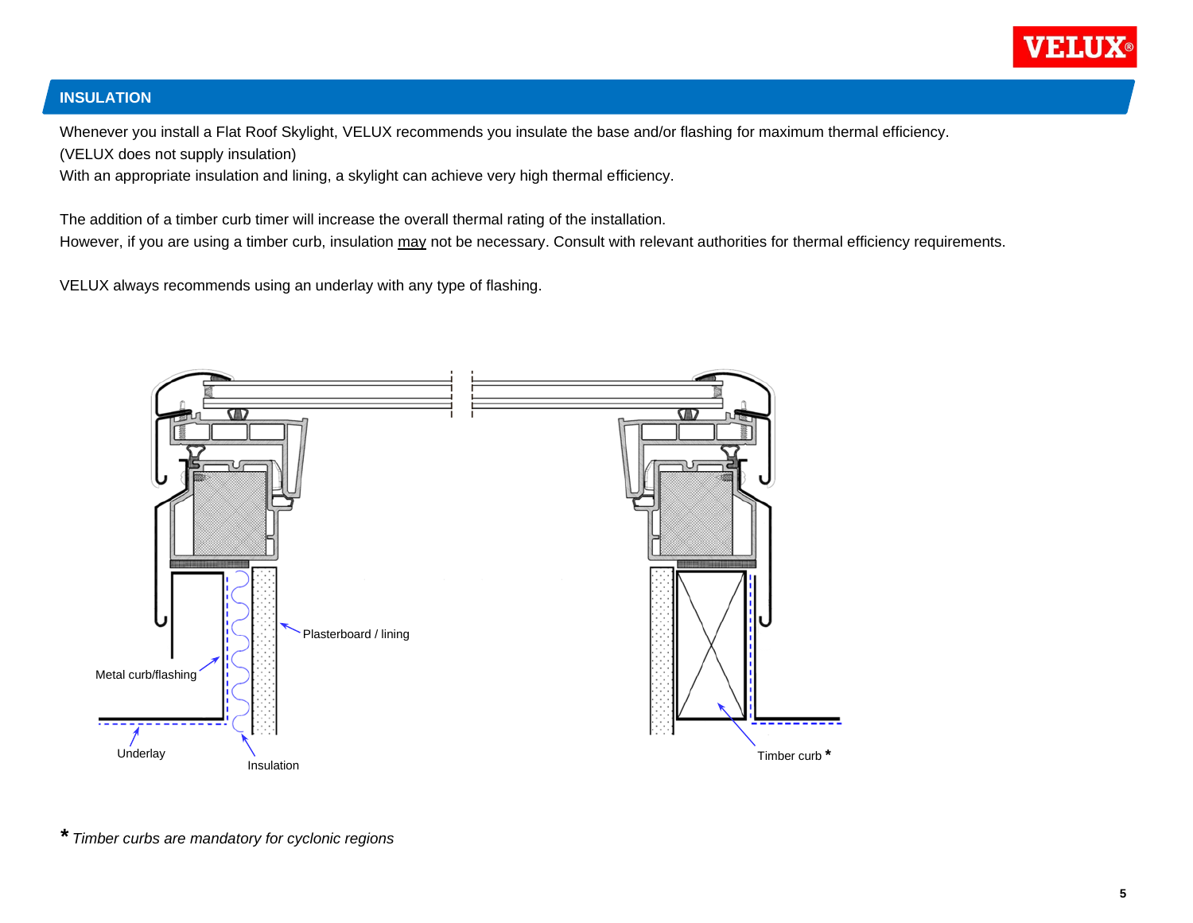

# **INSULATION**

Whenever you install a Flat Roof Skylight, VELUX recommends you insulate the base and/or flashing for maximum thermal efficiency. (VELUX does not supply insulation)

With an appropriate insulation and lining, a skylight can achieve very high thermal efficiency.

The addition of a timber curb timer will increase the overall thermal rating of the installation. However, if you are using a timber curb, insulation may not be necessary. Consult with relevant authorities for thermal efficiency requirements.

VELUX always recommends using an underlay with any type of flashing.



*\* Timber curbs are mandatory for cyclonic regions*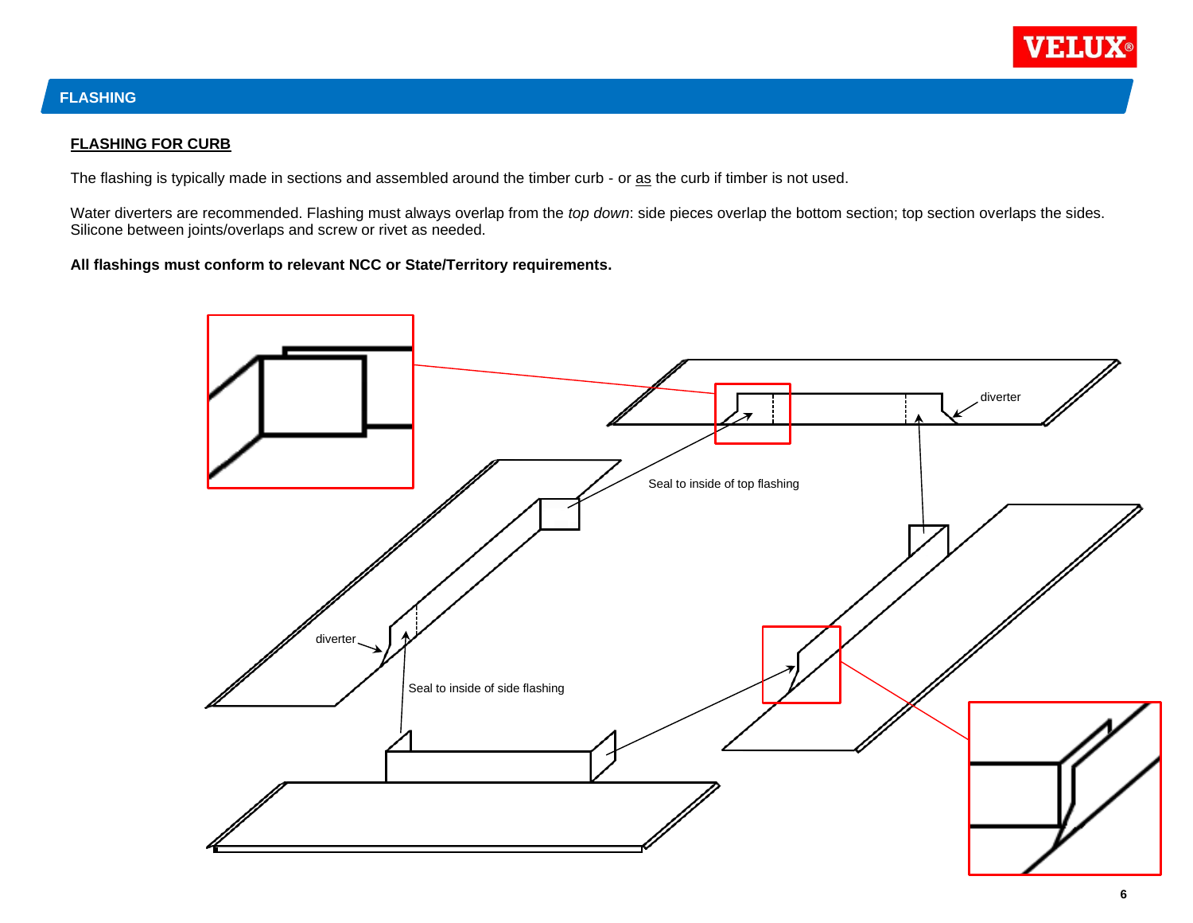

# **FLASHING**

### **FLASHING FOR CURB**

The flashing is typically made in sections and assembled around the timber curb - or as the curb if timber is not used.

Water diverters are recommended. Flashing must always overlap from the *top down*: side pieces overlap the bottom section; top section overlaps the sides. Silicone between joints/overlaps and screw or rivet as needed.

**All flashings must conform to relevant NCC or State/Territory requirements.**

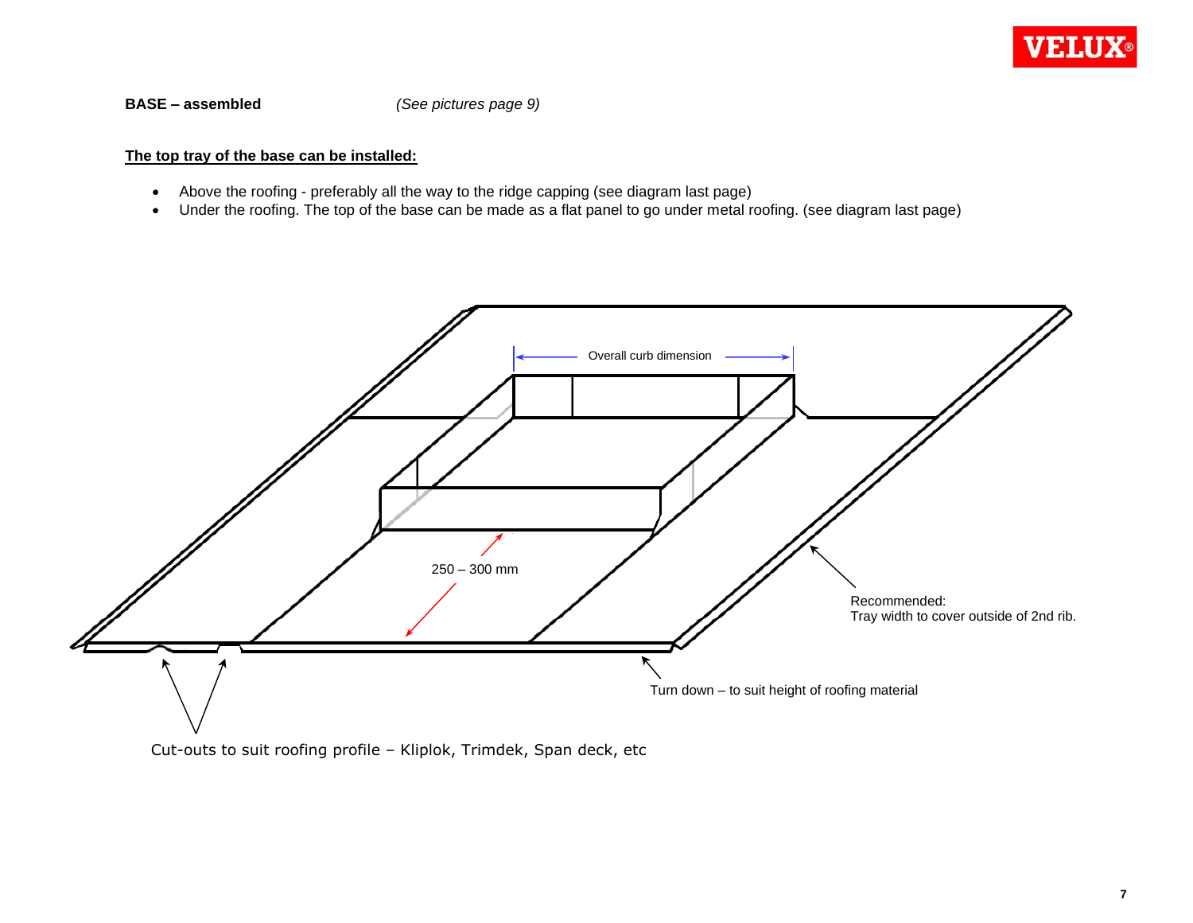

**BASE – assembled** *(See pictures page 9)*

### **The top tray of the base can be installed:**

- Above the roofing preferably all the way to the ridge capping (see diagram last page)
- Under the roofing. The top of the base can be made as a flat panel to go under metal roofing. (see diagram last page)



Cut-outs to suit roofing profile – Kliplok, Trimdek, Span deck, etc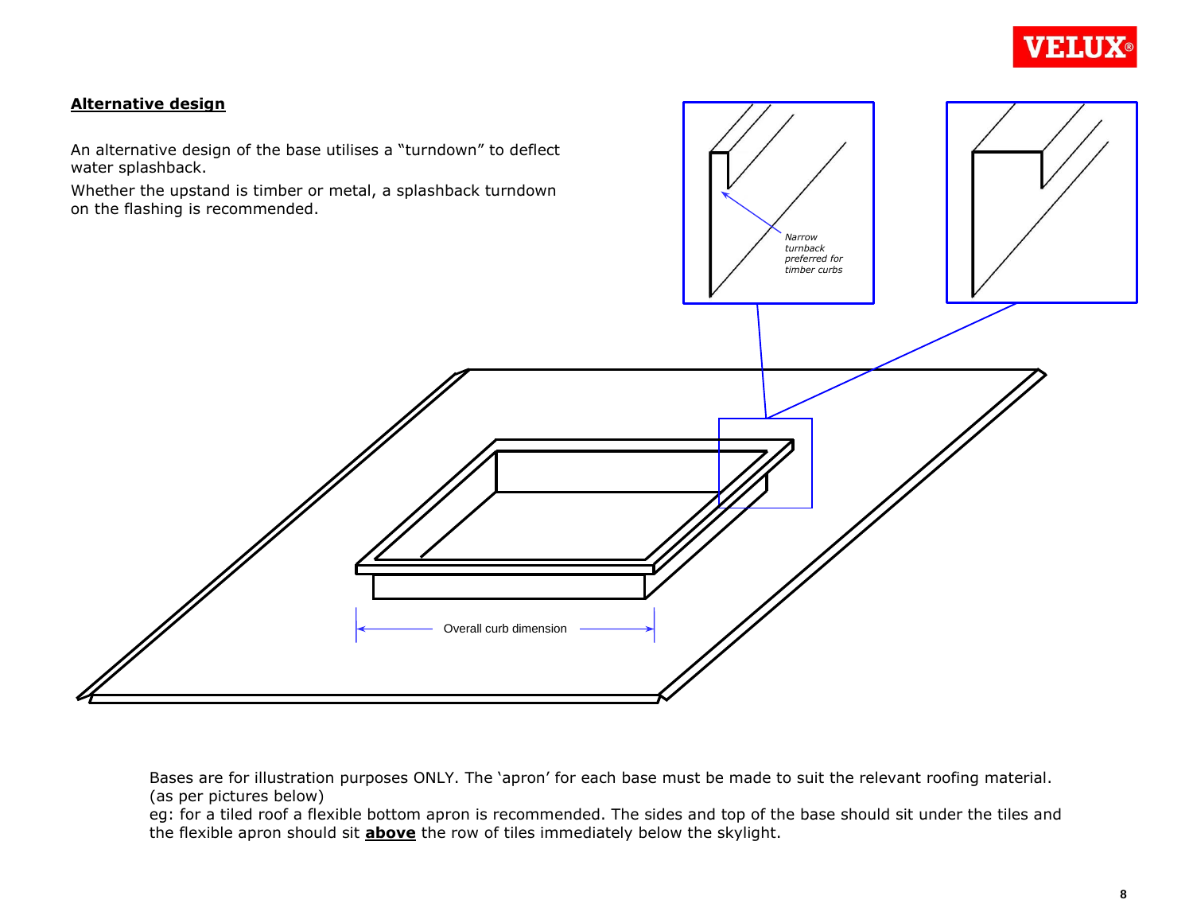

### **Alternative design**

water splashback.

on the flashing is recommended.



Bases are for illustration purposes ONLY. The 'apron' for each base must be made to suit the relevant roofing material. (as per pictures below)

eg: for a tiled roof a flexible bottom apron is recommended. The sides and top of the base should sit under the tiles and the flexible apron should sit **above** the row of tiles immediately below the skylight.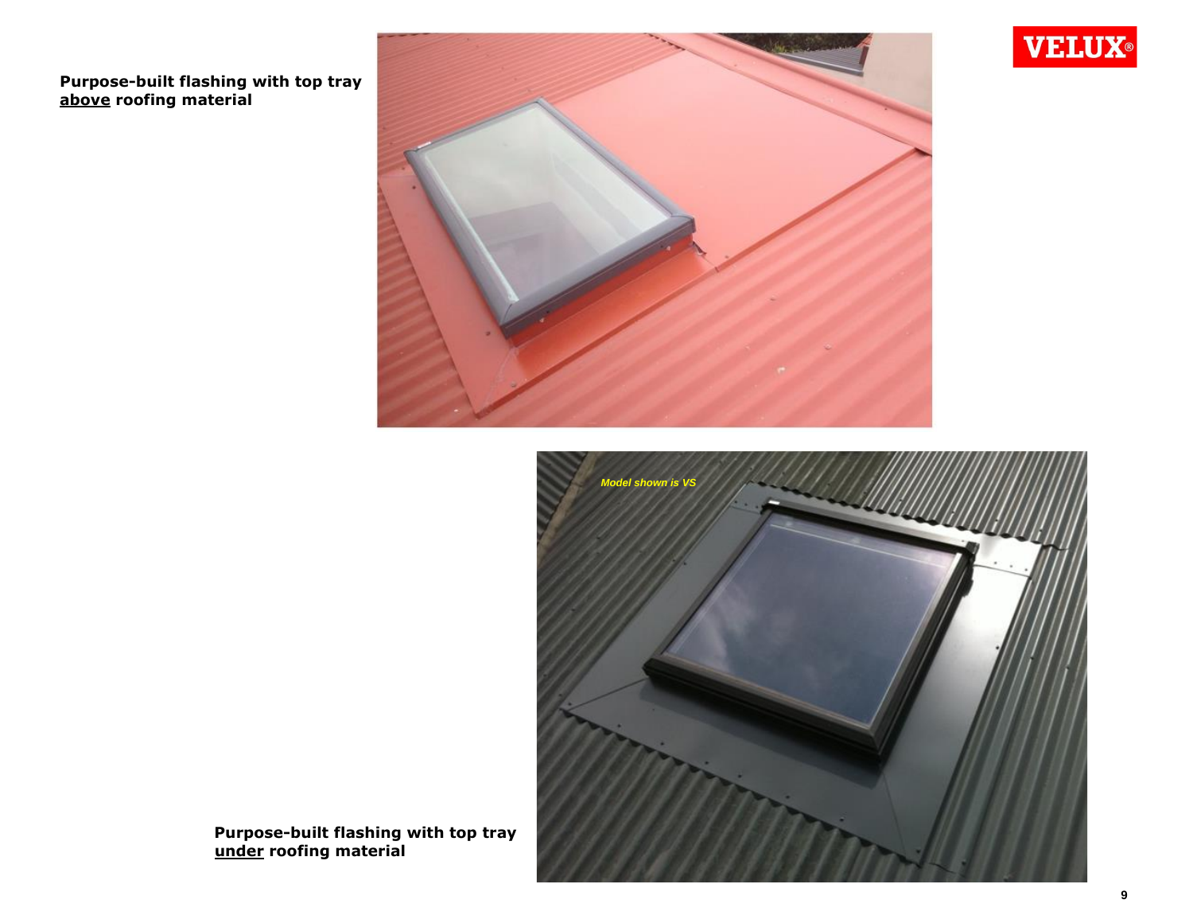

**above roofing material** 





 **Purpose-built flashing with top tray under roofing material**